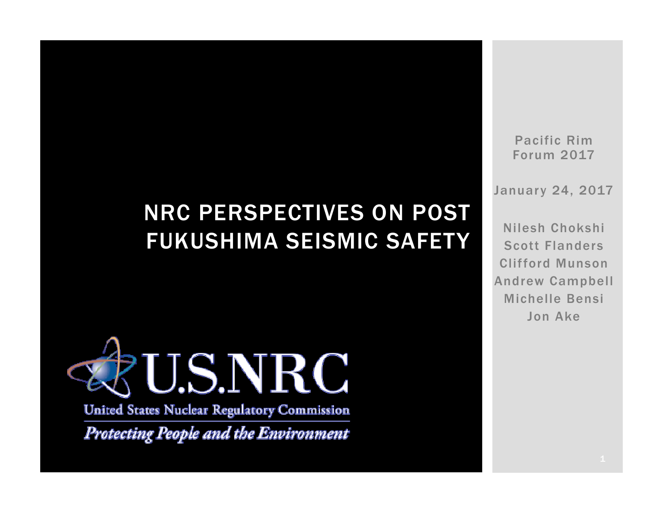## NRC PERSPECTIVES ON POST FUKUSHIMA SEISMIC SAFETY



**United States Nuclear Regulatory Commission** 

Protecting People and the Environment

Pacific Rim Forum 2017

January 24, 2017

Nilesh ChokshiScott FlandersClifford MunsonAndrew Campbell Michelle BensiJon Ake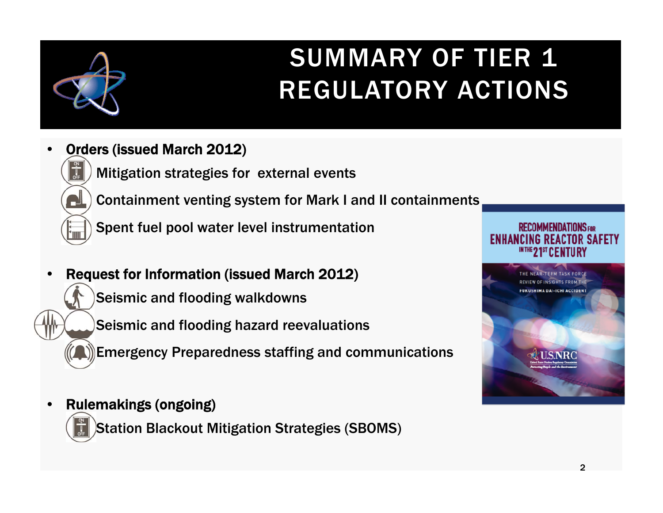

# SUMMARY OF TIER 1 REGULATORY ACTIONS

- • Orders (issued March 2012)
	- Mitigation strategies for external events



г

Ш

on<br>U<br>OFF

- Containment venting system for Mark I and II containments
- Spent fuel pool water level instrumentation
- • Request for Information (issued March 2012)
	- Seismic and flooding walkdowns
	- Seismic and flooding hazard reevaluations
	- Emergency Preparedness staffing and communications
- $\bullet$  Rulemakings (ongoing)
	- Station Blackout Mitigation Strategies (SBOMS)



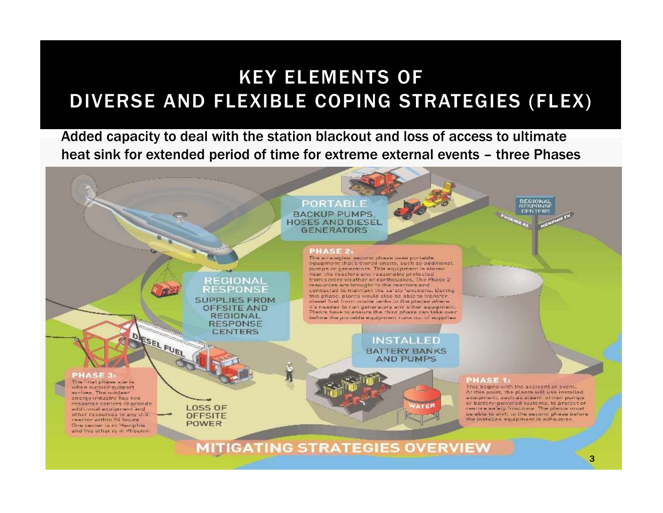### KEY ELEMENTS OFDIVERSE AND FLEXIBLE COPING STRATEGIES (FLEX)

Added capacity to deal with the station blackout and loss of access to ultimate heat sink for extended period of time for extreme external events – three Phases

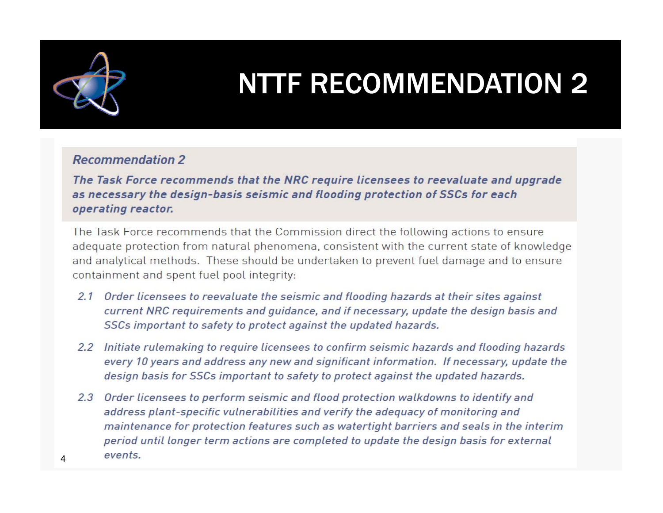

4

# NTTF RECOMMENDATION 2

#### **Recommendation 2**

The Task Force recommends that the NRC require licensees to reevaluate and upgrade as necessary the design-basis seismic and flooding protection of SSCs for each operating reactor.

The Task Force recommends that the Commission direct the following actions to ensure adequate protection from natural phenomena, consistent with the current state of knowledge and analytical methods. These should be undertaken to prevent fuel damage and to ensure containment and spent fuel pool integrity:

- 2.1 Order licensees to reevaluate the seismic and flooding hazards at their sites against current NRC requirements and guidance, and if necessary, update the design basis and SSCs important to safety to protect against the updated hazards.
- 2.2 Initiate rulemaking to require licensees to confirm seismic hazards and flooding hazards every 10 years and address any new and significant information. If necessary, update the design basis for SSCs important to safety to protect against the updated hazards.
- 2.3 Order licensees to perform seismic and flood protection walkdowns to identify and address plant-specific vulnerabilities and verify the adequacy of monitoring and maintenance for protection features such as watertight barriers and seals in the interim period until longer term actions are completed to update the design basis for external events.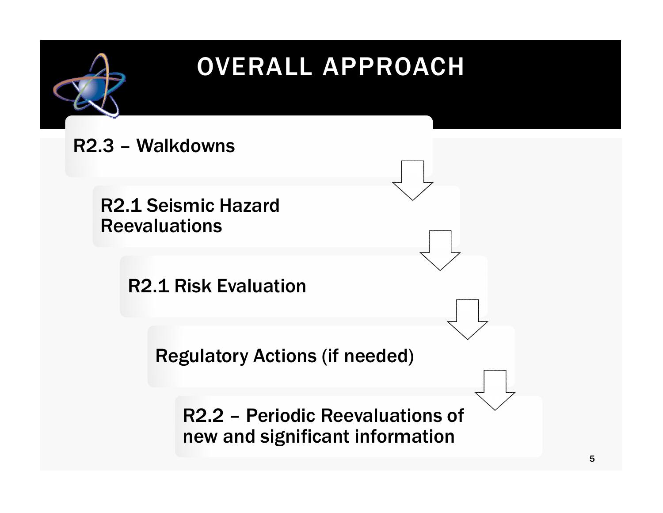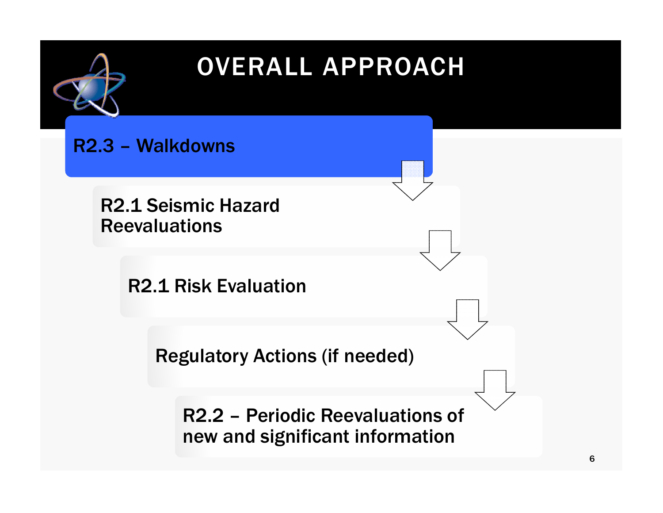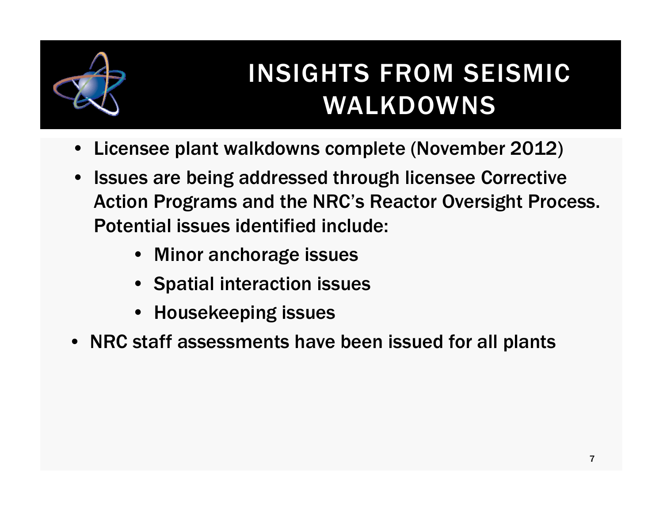

# INSIGHTS FROM SEISMIC WALKDOWNS

- Licensee plant walkdowns complete (November 2012)
- $\bullet$  Issues are being addressed through licensee Corrective Action Programs and the NRC's Reactor Oversight Process. Potential issues identified include:
	- Minor anchorage issues
	- Spatial interaction issues
	- Housekeeping issues
- NRC staff assessments have been issued for all plants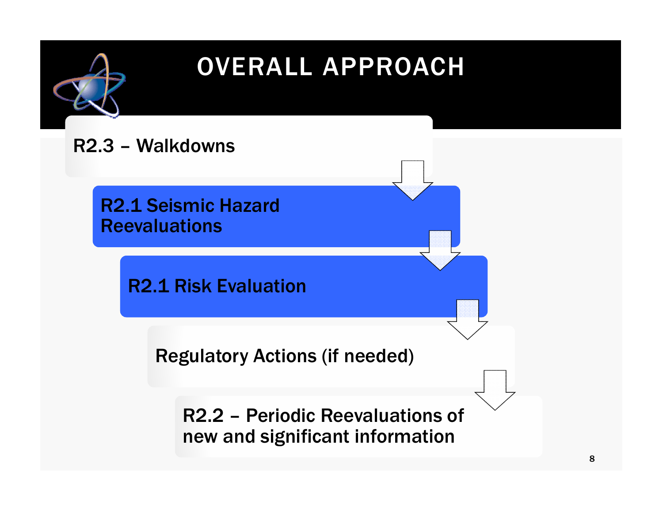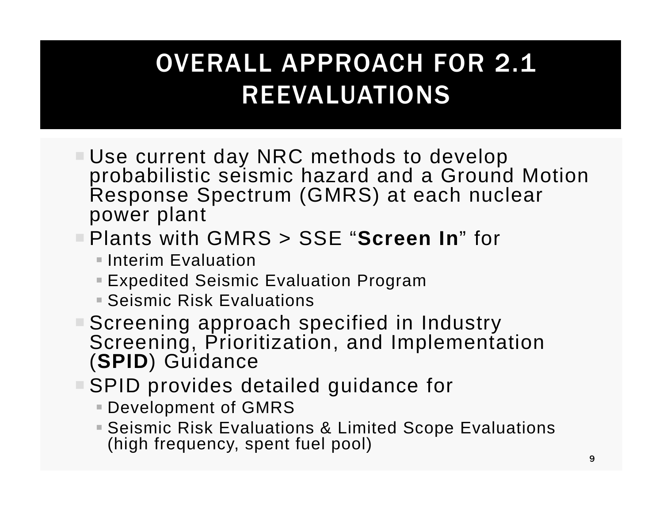## OVERALL APPROACH FOR 2.1 REEVALUATIONS

- Use current day NRC methods to develop probabilistic seismic hazard and a Ground Motion Response Spectrum (GMRS) at each nuclear power plant
- Plants with GMRS > SSE "**Screen In**" for
	- **Interim Evaluation**
	- Expedited Seismic Evaluation Program
	- Seismic Risk Evaluations
- Screening approach specified in Industry Screening, Prioritization, and Implementation (**SPID**) Guidance
- ■SPID provides detailed guidance for
	- Development of GMRS
	- Seismic Risk Evaluations & Limited Scope Evaluations (high frequency, spent fuel pool)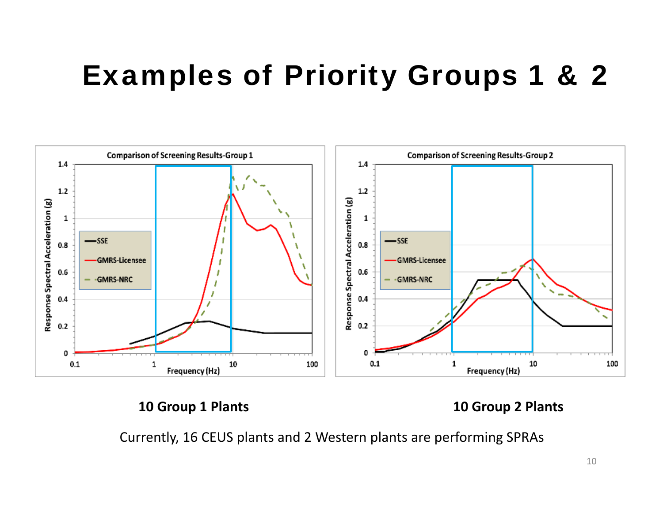# Examples of Priority Groups 1 & 2



#### **10 Group 1**

**Plants 10 Group 2 Plants**

Currently, 16 CEUS plants and 2 Western plants are performing SPRAs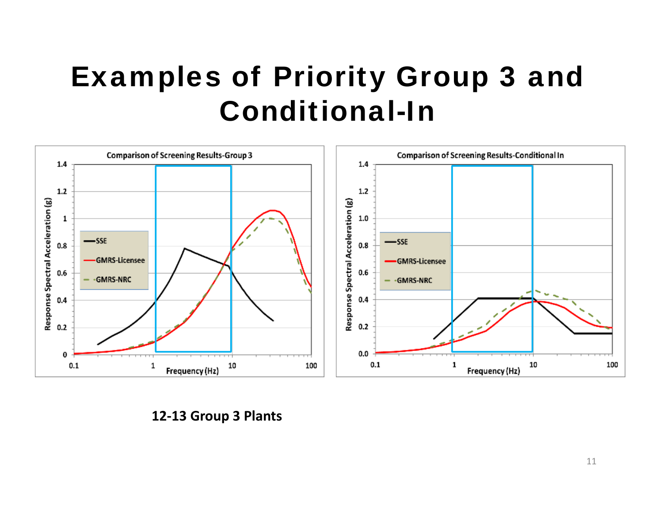# Examples of Priority Group 3 and Conditional-In



**12‐13 Group 3 Plants**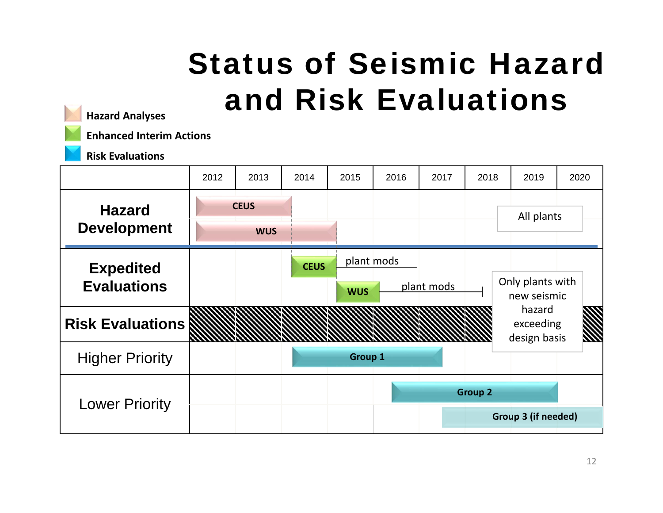# Status of Seismic Hazard and Risk Evaluations



**Hazard Analyses**

**Enhanced Interim Actions**

**Risk Evaluations**

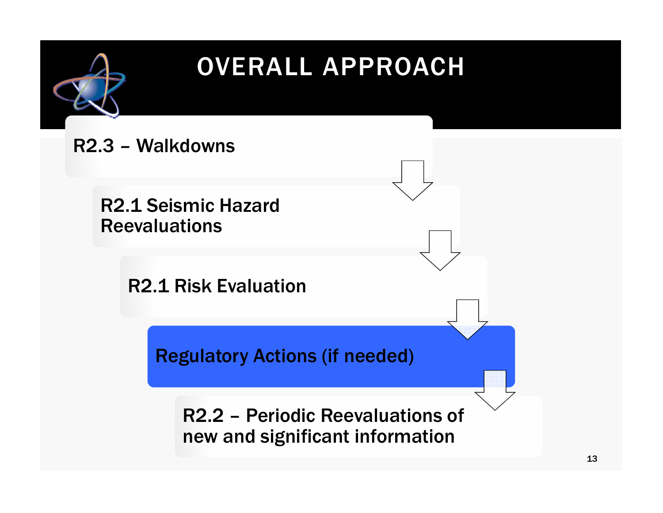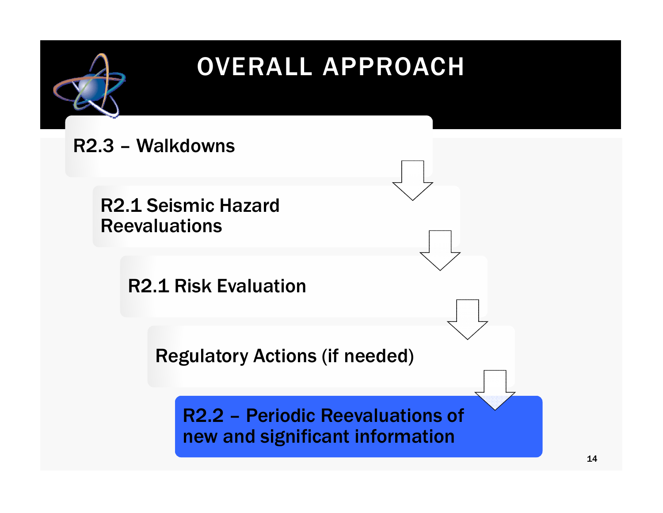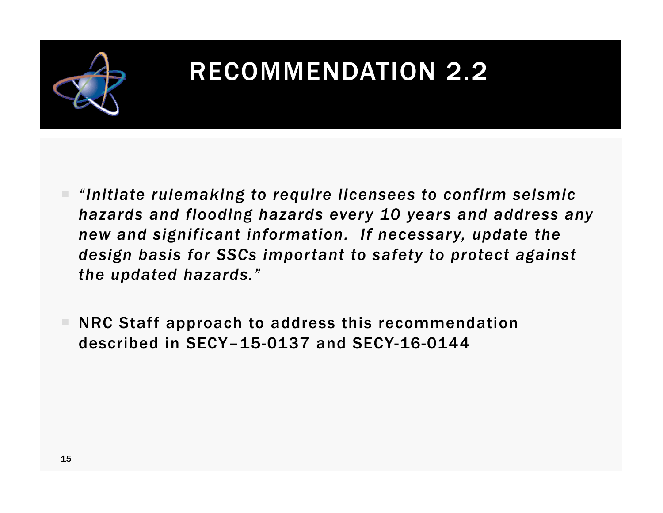

## RECOMMENDATION 2.2

- *"Initiate rulemaking to require licensees to confirm seismic hazards and flooding hazards every 10 years and address any new and significant information. If necessary, update the design basis for SSCs important to safety to protect against the updated hazards."*
- NRC Staff approach to address this recommendation described in SECY–15-0137 and SECY-16-0144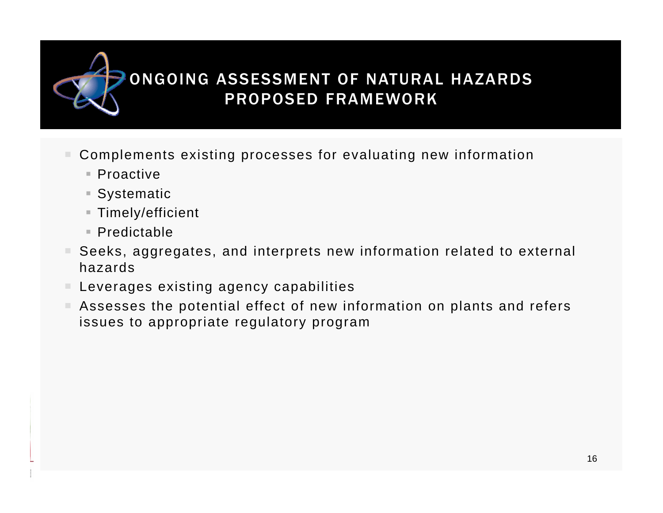### ONGOING ASSESSMENT OF NATURAL HAZARDS PROPOSED FRAMEWORK

- ш Complements existing processes for evaluating new information
	- Proactive
	- Systematic
	- Timely/efficient
	- Predictable
- $\mathbb{R}^n$  Seeks, aggregates, and interprets new information related to external hazards
- $\blacksquare$  Leverages existing agency capabilities
- Assesses the potential effect of new information on plants and refers issues to appropriate regulatory program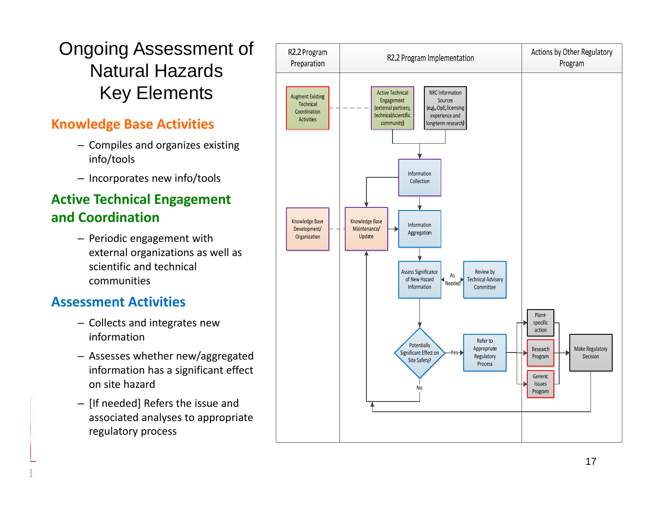### Ongoing Assessment of Natural Hazards Key Elements

#### **Knowledge Base Activities**

- Compiles and organizes existing info/tools
- Incorporates new info/tools

#### **Active Technical Engagement and Coordination**

– Periodic engagement with external organizations as well as scientific and technical communities

#### **Assessment Activities**

- Collects and integrates new information
- Assesses whether new/aggregated information has a significant effect on site hazard
- [If needed] Refers the issue and associated analyses to appropriate regulatory process

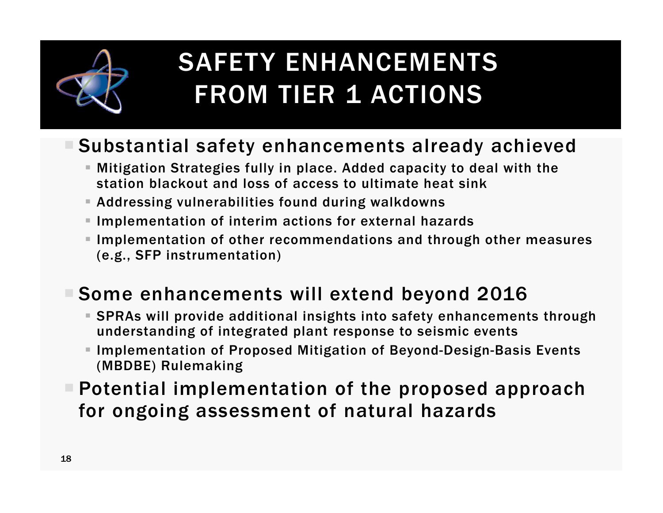

## SAFETY ENHANCEMENTS FROM TIER 1 ACTIONS

### Substantial safety enhancements already achieved

- Mitigation Strategies fully in place. Added capacity to deal with the station blackout and loss of access to ultimate heat sink
- Addressing vulnerabilities found during walkdowns
- $\blacksquare$  Implementation of interim actions for external hazards
- $\blacksquare$  Implementation of other recommendations and through other measures (e.g., SFP instrumentation)

### Some enhancements will extend beyond 2016

- SPRAs will provide additional insights into safety enhancements through understanding of integrated plant response to seismic events
- Implementation of Proposed Mitigation of Beyond-Design-Basis Events (MBDBE) Rulemaking
- $\blacksquare$  Potential implementation of the proposed approach for ongoing assessment of natural hazards